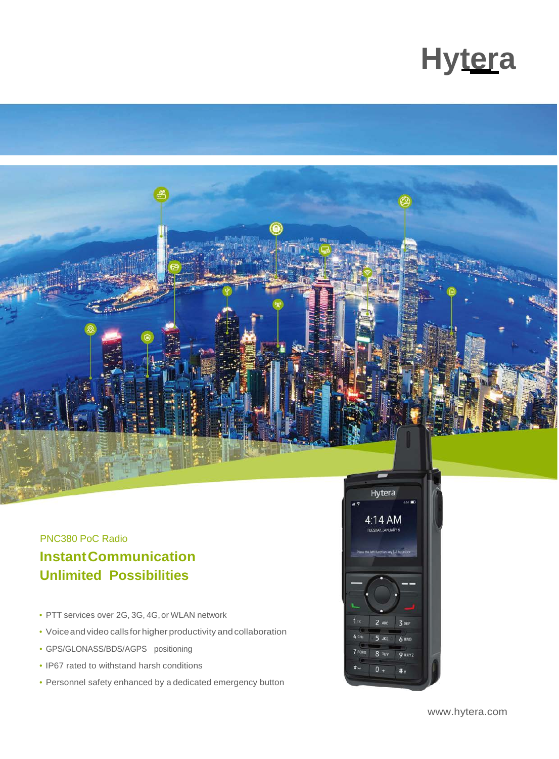



## PNC380 PoC Radio **InstantCommunication Unlimited Possibilities**

- PTT services over 2G, 3G, 4G,or WLAN network
- Voice and video calls for higher productivity and collaboration
- GPS/GLONASS/BDS/AGPS positioning
- IP67 rated to withstand harsh conditions
- Personnel safety enhanced by a dedicated emergency button



[www.hytera.com](http://www.hytera.com/)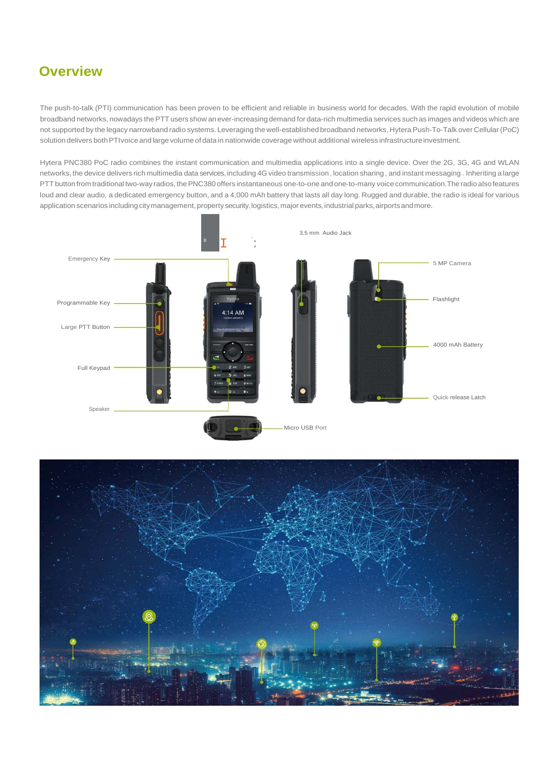### **Overview**

The push-to-talk (PTI) communication has been proven to be efficient and reliable in business world for decades. With the rapid evolution of mobile broadband networks, nowadays thePTT users show an ever-increasing demand for data-rich multimedia services such as images and videos which are not supported by the legacy narrowband radio systems. Leveraging the well-established broadband networks, Hytera Push-To-Talk over Cellular (PoC) solution delivers bothPTIvoice and large volume of data in nationwide coverage without additional wireless infrastructureinvestment.

Hytera PNC380 PoC radio combines the instant communication and multimedia applications into a single device. Over the 2G, 3G, 4G and WLAN networks, the device delivers rich multimedia data services, including 4G video transmission, location sharing, and instant messaging . Inheriting a large PTT button from traditional two-way radios, the PNC380 offers instantaneous one-to-one and one-to-many voice communication. The radio also features loud and clear audio, a dedicated emergency button, and a 4,000 mAh battery that lasts all day long. Rugged and durable, the radio is ideal for various application scenarios including citymanagement, property security, logistics, major events, industrial parks, airports and more.



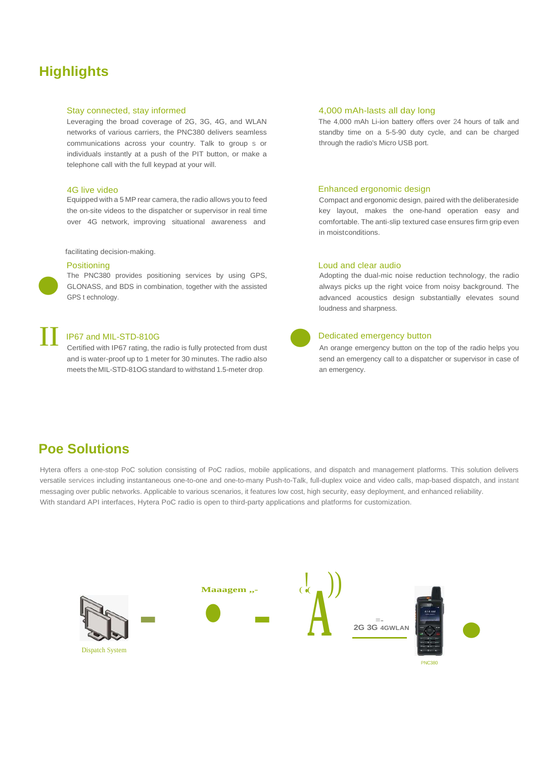### **Highlights**

### Stay connected, stay informed

Leveraging the broad coverage of 2G, 3G, 4G, and WLAN networks of various carriers, the PNC380 delivers seamless communications across your country. Talk to group s or individuals instantly at a push of the PIT button, or make a telephone call with the full keypad at your will.

#### 4G live video

Equipped with a 5 MP rear camera, the radio allows you to feed the on-site videos to the dispatcher or supervisor in real time over 4G network, improving situational awareness and

#### facilitating decision-making.

#### **Positioning**

**•** 

The PNC380 provides positioning services by using GPS, GLONASS, and BDS in combination, together with the assisted GPS t echnology.

### IP67 and MIL-STD-810G

Certified with IP67 rating, the radio is fully protected from dust and is water-proof up to 1 meter for 30 minutes. The radio also meets theMIL-STD-81OGstandard to withstand 1.5-meter drop. IP67 and MIL-STD-810G<br>Certified with IP67 rating, the radio is fully protected from dust<br>and is water-proof up to 1 meter for 30 minutes. The radio also<br>meets the MIL-STD-810G standard to withstand 1.5-meter drop.

### 4,000 mAh-lasts all day long

The 4,000 mAh Li-ion battery offers over 24 hours of talk and standby time on a 5-5-90 duty cycle, and can be charged through the radio's Micro USB port.

#### Enhanced ergonomic design

Compact and ergonomic design, paired with the deliberateside key layout, makes the one-hand operation easy and comfortable. The anti-slip textured case ensures firm grip even in moistconditions.

#### Loud and clear audio

Adopting the dual-mic noise reduction technology, the radio always picks up the right voice from noisy background. The advanced acoustics design substantially elevates sound loudness and sharpness.

### Dedicated emergency button

An orange emergency button on the top of the radio helps you send an emergency call to a dispatcher or supervisor in case of an emergency.

### **Poe Solutions**

Hytera offers a one-stop PoC solution consisting of PoC radios, mobile applications, and dispatch and management platforms. This solution delivers versatile services including instantaneous one-to-one and one-to-many Push-to-Talk, full-duplex voice and video calls, map-based dispatch, and instant messaging over public networks. Applicable to various scenarios, it features low cost, high security, easy deployment, and enhanced reliability. With standard API interfaces, Hytera PoC radio is open to third-party applications and platforms for customization.

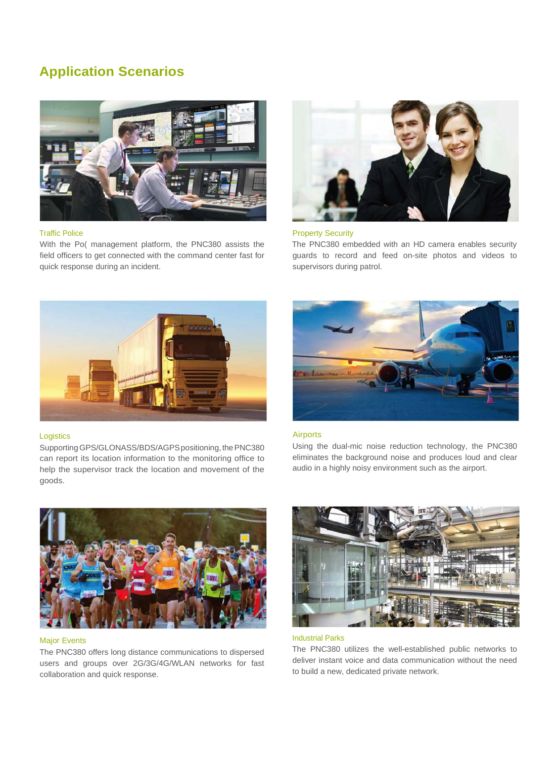### **Application Scenarios**



### Traffic Police

With the Po( management platform, the PNC380 assists the field officers to get connected with the command center fast for quick response during an incident.



### Property Security

The PNC380 embedded with an HD camera enables security guards to record and feed on-site photos and videos to supervisors during patrol.



### **Logistics**

Supporting GPS/GLONASS/BDS/AGPS positioning, the PNC380 can report its location information to the monitoring office to help the supervisor track the location and movement of the goods.



### Airports

Using the dual-mic noise reduction technology, the PNC380 eliminates the background noise and produces loud and clear audio in a highly noisy environment such as the airport.



### Major Events

The PNC380 offers long distance communications to dispersed users and groups over 2G/3G/4G/WLAN networks for fast collaboration and quick response.



### Industrial Parks

The PNC380 utilizes the well-established public networks to deliver instant voice and data communication without the need to build a new, dedicated private network.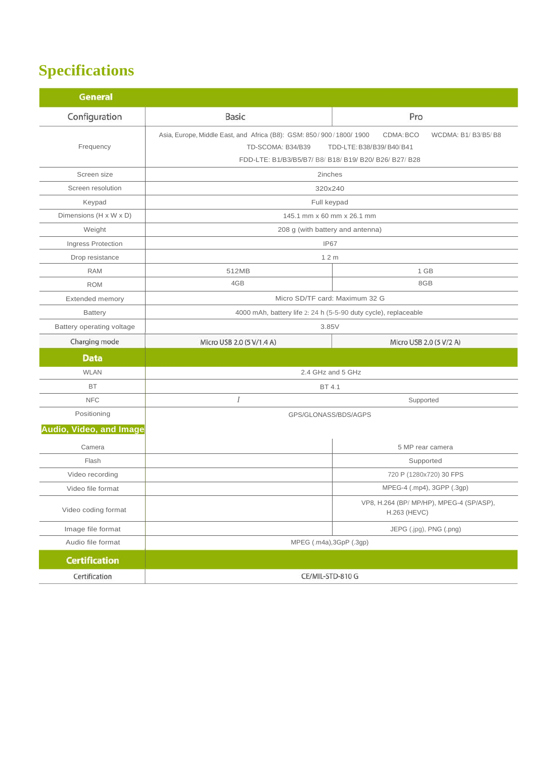# **Specifications**

| <b>General</b>            |                                                                                                                                                   |                                                                 |
|---------------------------|---------------------------------------------------------------------------------------------------------------------------------------------------|-----------------------------------------------------------------|
| Configuration             | <b>Basic</b>                                                                                                                                      | Pro                                                             |
| Frequency                 | Asia, Europe, Middle East, and Africa (B8): GSM: 850/900/1800/1900<br>TD-SCOMA: B34/B39<br>FDD-LTE: B1/B3/B5/B7/ B8/ B18/ B19/ B20/ B26/ B27/ B28 | CDMA: BCO<br>WCDMA: B1/ B3/B5/B8<br>TDD-LTE: B38/B39/B40/B41    |
| Screen size               | 2inches                                                                                                                                           |                                                                 |
| Screen resolution         | 320x240                                                                                                                                           |                                                                 |
| Keypad                    | Full keypad                                                                                                                                       |                                                                 |
| Dimensions (H x W x D)    | 145.1 mm x 60 mm x 26.1 mm                                                                                                                        |                                                                 |
| Weight                    | 208 g (with battery and antenna)                                                                                                                  |                                                                 |
| Ingress Protection        | IP67                                                                                                                                              |                                                                 |
| Drop resistance           | 1.2 <sub>m</sub>                                                                                                                                  |                                                                 |
| <b>RAM</b>                | 512MB                                                                                                                                             | 1 GB                                                            |
| <b>ROM</b>                | 4GB                                                                                                                                               | 8GB                                                             |
| Extended memory           | Micro SD/TF card: Maximum 32 G                                                                                                                    |                                                                 |
| <b>Battery</b>            | 4000 mAh, battery life 2: 24 h (5-5-90 duty cycle), replaceable                                                                                   |                                                                 |
| Battery operating voltage | 3.85V                                                                                                                                             |                                                                 |
| Charging mode             | Micro USB 2.0 (5 V/1.4 A)                                                                                                                         | Micro USB 2.0 (5 V/2 A)                                         |
| <b>Data</b>               |                                                                                                                                                   |                                                                 |
| <b>WLAN</b>               | 2.4 GHz and 5 GHz                                                                                                                                 |                                                                 |
| <b>BT</b>                 | BT 4.1                                                                                                                                            |                                                                 |
| <b>NFC</b>                | $\overline{I}$                                                                                                                                    | Supported                                                       |
| Positioning               | GPS/GLONASS/BDS/AGPS                                                                                                                              |                                                                 |
| Audio, Video, and Image   |                                                                                                                                                   |                                                                 |
| Camera                    |                                                                                                                                                   | 5 MP rear camera                                                |
| Flash                     |                                                                                                                                                   | Supported                                                       |
| Video recording           |                                                                                                                                                   | 720 P (1280x720) 30 FPS                                         |
| Video file format         |                                                                                                                                                   | MPEG-4 (.mp4), 3GPP (.3gp)                                      |
| Video coding format       |                                                                                                                                                   | VP8, H.264 (BP/ MP/HP), MPEG-4 (SP/ASP),<br><b>H.263 (HEVC)</b> |
| Image file format         |                                                                                                                                                   | JEPG (.jpg), PNG (.png)                                         |
| Audio file format         | MPEG (.m4a), 3GpP (.3gp)                                                                                                                          |                                                                 |
| <b>Certification</b>      |                                                                                                                                                   |                                                                 |
| Certification             | CE/MIL-STD-810 G                                                                                                                                  |                                                                 |